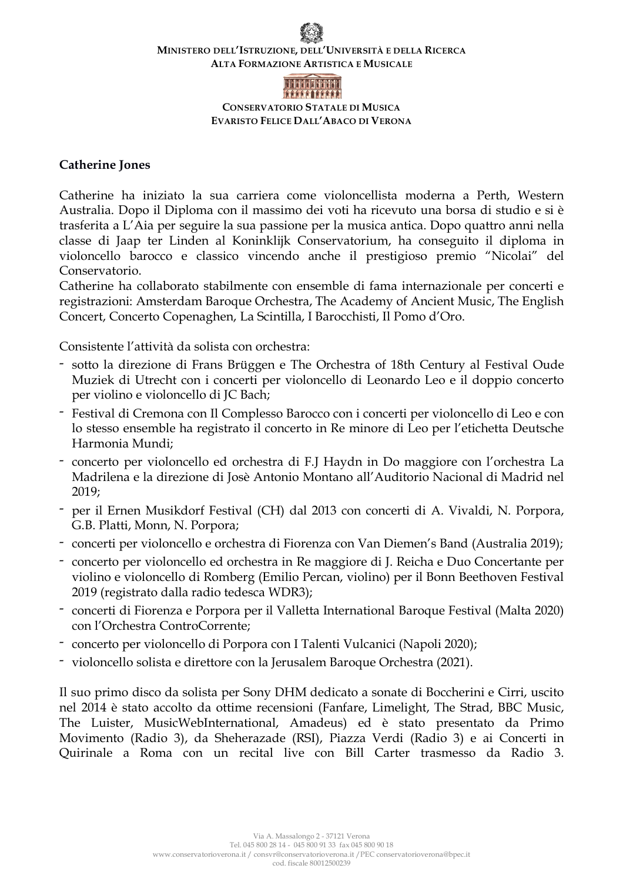## **MINISTERO DELL'ISTRUZIONE, DELL'UNIVERSITÀ E DELLA RICERCA ALTA FORMAZIONE ARTISTICA E MUSICALE**



**CONSERVATORIO STATALE DI MUSICA EVARISTO FELICE DALL'ABACO DI VERONA**

## **Catherine Jones**

Catherine ha iniziato la sua carriera come violoncellista moderna a Perth, Western Australia. Dopo il Diploma con il massimo dei voti ha ricevuto una borsa di studio e si è trasferita a L'Aia per seguire la sua passione per la musica antica. Dopo quattro anni nella classe di Jaap ter Linden al Koninklijk Conservatorium, ha conseguito il diploma in violoncello barocco e classico vincendo anche il prestigioso premio "Nicolai" del Conservatorio.

Catherine ha collaborato stabilmente con ensemble di fama internazionale per concerti e registrazioni: Amsterdam Baroque Orchestra, The Academy of Ancient Music, The English Concert, Concerto Copenaghen, La Scintilla, I Barocchisti, Il Pomo d'Oro.

Consistente l'attività da solista con orchestra:

- sotto la direzione di Frans Brüggen e The Orchestra of 18th Century al Festival Oude Muziek di Utrecht con i concerti per violoncello di Leonardo Leo e il doppio concerto per violino e violoncello di JC Bach;
- Festival di Cremona con Il Complesso Barocco con i concerti per violoncello di Leo e con lo stesso ensemble ha registrato il concerto in Re minore di Leo per l'etichetta Deutsche Harmonia Mundi;
- concerto per violoncello ed orchestra di F.J Haydn in Do maggiore con l'orchestra La Madrilena e la direzione di Josè Antonio Montano all'Auditorio Nacional di Madrid nel 2019;
- per il Ernen Musikdorf Festival (CH) dal 2013 con concerti di A. Vivaldi, N. Porpora, G.B. Platti, Monn, N. Porpora;
- concerti per violoncello e orchestra di Fiorenza con Van Diemen's Band (Australia 2019);
- concerto per violoncello ed orchestra in Re maggiore di J. Reicha e Duo Concertante per violino e violoncello di Romberg (Emilio Percan, violino) per il Bonn Beethoven Festival 2019 (registrato dalla radio tedesca WDR3);
- concerti di Fiorenza e Porpora per il Valletta International Baroque Festival (Malta 2020) con l'Orchestra ControCorrente;
- concerto per violoncello di Porpora con I Talenti Vulcanici (Napoli 2020);
- violoncello solista e direttore con la Jerusalem Baroque Orchestra (2021).

Il suo primo disco da solista per Sony DHM dedicato a sonate di Boccherini e Cirri, uscito nel 2014 è stato accolto da ottime recensioni (Fanfare, Limelight, The Strad, BBC Music, The Luister, MusicWebInternational, Amadeus) ed è stato presentato da Primo Movimento (Radio 3), da Sheherazade (RSI), Piazza Verdi (Radio 3) e ai Concerti in Quirinale a Roma con un recital live con Bill Carter trasmesso da Radio 3.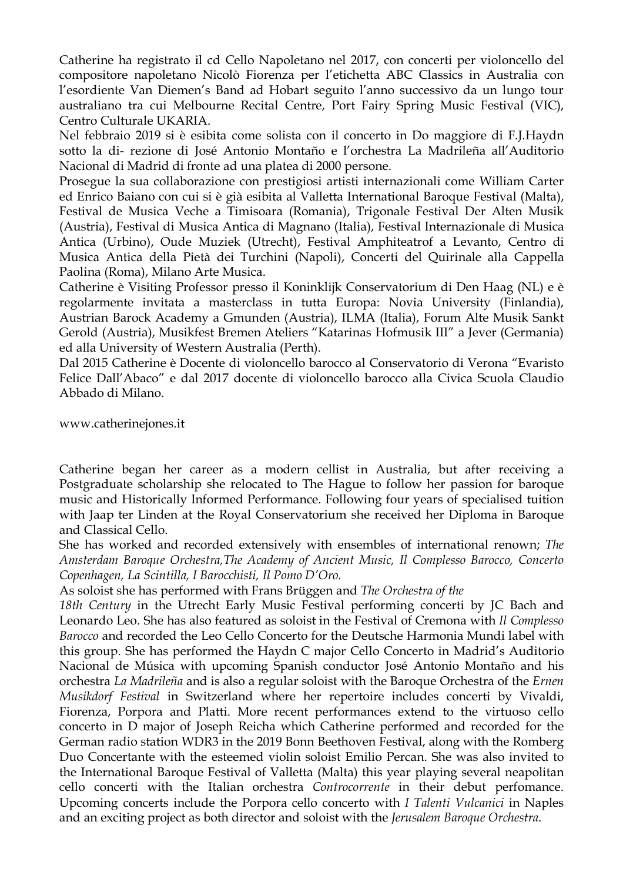Catherine ha registrato il cd Cello Napoletano nel 2017, con concerti per violoncello del compositore napoletano Nicolò Fiorenza per l'etichetta ABC Classics in Australia con l'esordiente Van Diemen's Band ad Hobart seguito l'anno successivo da un lungo tour australiano tra cui Melbourne Recital Centre, Port Fairy Spring Music Festival (VIC), Centro Culturale UKARIA.

Nel febbraio 2019 si è esibita come solista con il concerto in Do maggiore di F.J.Haydn sotto la di- rezione di José Antonio Montaño e l'orchestra La Madrileña all'Auditorio Nacional di Madrid di fronte ad una platea di 2000 persone.

Prosegue la sua collaborazione con prestigiosi artisti internazionali come William Carter ed Enrico Baiano con cui si è già esibita al Valletta International Baroque Festival (Malta), Festival de Musica Veche a Timisoara (Romania), Trigonale Festival Der Alten Musik (Austria), Festival di Musica Antica di Magnano (Italia), Festival Internazionale di Musica Antica (Urbino), Oude Muziek (Utrecht), Festival Amphiteatrof a Levanto, Centro di Musica Antica della Pietà dei Turchini (Napoli), Concerti del Quirinale alla Cappella Paolina (Roma), Milano Arte Musica.

Catherine è Visiting Professor presso il Koninklijk Conservatorium di Den Haag (NL) e è regolarmente invitata a masterclass in tutta Europa: Novia University (Finlandia), Austrian Barock Academy a Gmunden (Austria), ILMA (Italia), Forum Alte Musik Sankt Gerold (Austria), Musikfest Bremen Ateliers "Katarinas Hofmusik III" a Jever (Germania) ed alla University of Western Australia (Perth).

Dal 2015 Catherine è Docente di violoncello barocco al Conservatorio di Verona "Evaristo Felice Dall'Abaco" e dal 2017 docente di violoncello barocco alla Civica Scuola Claudio Abbado di Milano.

www.catherinejones.it

Catherine began her career as a modern cellist in Australia, but after receiving a Postgraduate scholarship she relocated to The Hague to follow her passion for baroque music and Historically Informed Performance. Following four years of specialised tuition with Jaap ter Linden at the Royal Conservatorium she received her Diploma in Baroque and Classical Cello.

She has worked and recorded extensively with ensembles of international renown; *The Amsterdam Baroque Orchestra,The Academy of Ancient Music, Il Complesso Barocco, Concerto Copenhagen, La Scintilla, I Barocchisti, Il Pomo D'Oro.*

As soloist she has performed with Frans Brüggen and *The Orchestra of the*

*18th Century* in the Utrecht Early Music Festival performing concerti by JC Bach and Leonardo Leo. She has also featured as soloist in the Festival of Cremona with *Il Complesso Barocco* and recorded the Leo Cello Concerto for the Deutsche Harmonia Mundi label with this group. She has performed the Haydn C major Cello Concerto in Madrid's Auditorio Nacional de Música with upcoming Spanish conductor José Antonio Montaño and his orchestra *La Madrileña* and is also a regular soloist with the Baroque Orchestra of the *Ernen Musikdorf Festival* in Switzerland where her repertoire includes concerti by Vivaldi, Fiorenza, Porpora and Platti. More recent performances extend to the virtuoso cello concerto in D major of Joseph Reicha which Catherine performed and recorded for the German radio station WDR3 in the 2019 Bonn Beethoven Festival, along with the Romberg Duo Concertante with the esteemed violin soloist Emilio Percan. She was also invited to the International Baroque Festival of Valletta (Malta) this year playing several neapolitan cello concerti with the Italian orchestra *Controcorrente* in their debut perfomance. Upcoming concerts include the Porpora cello concerto with *I Talenti Vulcanici* in Naples and an exciting project as both director and soloist with the *Jerusalem Baroque Orchestra*.